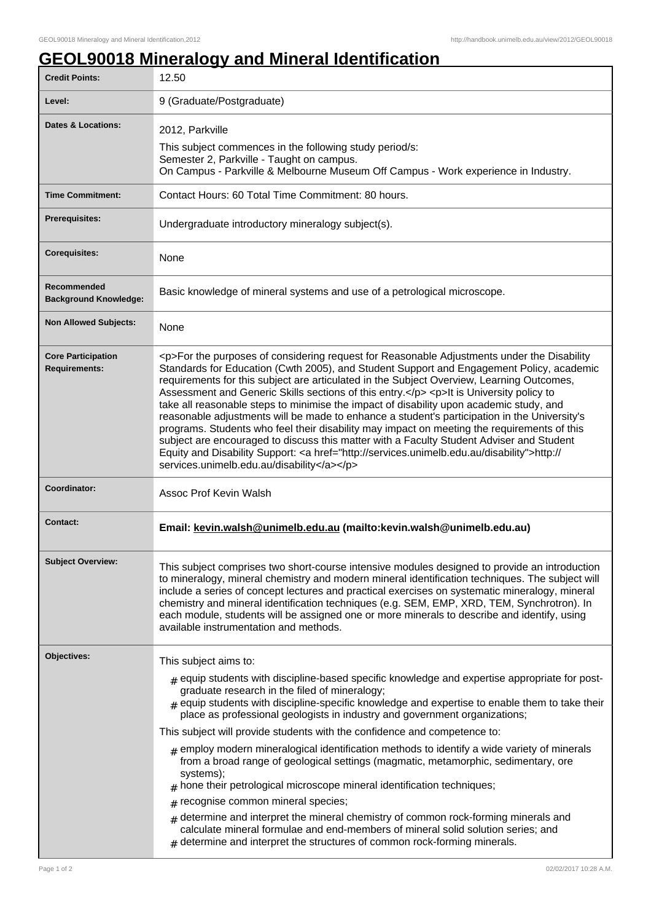## **GEOL90018 Mineralogy and Mineral Identification**

| <b>Credit Points:</b>                             | 12.50                                                                                                                                                                                                                                                                                                                                                                                                                                                                                                                                                                                                                                                                                                                                                                                                                                                                                                                        |
|---------------------------------------------------|------------------------------------------------------------------------------------------------------------------------------------------------------------------------------------------------------------------------------------------------------------------------------------------------------------------------------------------------------------------------------------------------------------------------------------------------------------------------------------------------------------------------------------------------------------------------------------------------------------------------------------------------------------------------------------------------------------------------------------------------------------------------------------------------------------------------------------------------------------------------------------------------------------------------------|
| Level:                                            | 9 (Graduate/Postgraduate)                                                                                                                                                                                                                                                                                                                                                                                                                                                                                                                                                                                                                                                                                                                                                                                                                                                                                                    |
| <b>Dates &amp; Locations:</b>                     | 2012, Parkville<br>This subject commences in the following study period/s:<br>Semester 2, Parkville - Taught on campus.<br>On Campus - Parkville & Melbourne Museum Off Campus - Work experience in Industry.                                                                                                                                                                                                                                                                                                                                                                                                                                                                                                                                                                                                                                                                                                                |
| <b>Time Commitment:</b>                           | Contact Hours: 60 Total Time Commitment: 80 hours.                                                                                                                                                                                                                                                                                                                                                                                                                                                                                                                                                                                                                                                                                                                                                                                                                                                                           |
| <b>Prerequisites:</b>                             | Undergraduate introductory mineralogy subject(s).                                                                                                                                                                                                                                                                                                                                                                                                                                                                                                                                                                                                                                                                                                                                                                                                                                                                            |
| <b>Corequisites:</b>                              | None                                                                                                                                                                                                                                                                                                                                                                                                                                                                                                                                                                                                                                                                                                                                                                                                                                                                                                                         |
| Recommended<br><b>Background Knowledge:</b>       | Basic knowledge of mineral systems and use of a petrological microscope.                                                                                                                                                                                                                                                                                                                                                                                                                                                                                                                                                                                                                                                                                                                                                                                                                                                     |
| <b>Non Allowed Subjects:</b>                      | None                                                                                                                                                                                                                                                                                                                                                                                                                                                                                                                                                                                                                                                                                                                                                                                                                                                                                                                         |
| <b>Core Participation</b><br><b>Requirements:</b> | <p>For the purposes of considering request for Reasonable Adjustments under the Disability<br/>Standards for Education (Cwth 2005), and Student Support and Engagement Policy, academic<br/>requirements for this subject are articulated in the Subject Overview, Learning Outcomes,<br/>Assessment and Generic Skills sections of this entry.</p> <p>lt is University policy to<br/>take all reasonable steps to minimise the impact of disability upon academic study, and<br/>reasonable adjustments will be made to enhance a student's participation in the University's<br/>programs. Students who feel their disability may impact on meeting the requirements of this<br/>subject are encouraged to discuss this matter with a Faculty Student Adviser and Student<br/>Equity and Disability Support: &lt; a href="http://services.unimelb.edu.au/disability"&gt;http://<br/>services.unimelb.edu.au/disability</p> |
| Coordinator:                                      | Assoc Prof Kevin Walsh                                                                                                                                                                                                                                                                                                                                                                                                                                                                                                                                                                                                                                                                                                                                                                                                                                                                                                       |
| <b>Contact:</b>                                   | Email: kevin.walsh@unimelb.edu.au (mailto:kevin.walsh@unimelb.edu.au)                                                                                                                                                                                                                                                                                                                                                                                                                                                                                                                                                                                                                                                                                                                                                                                                                                                        |
| <b>Subject Overview:</b>                          | This subject comprises two short-course intensive modules designed to provide an introduction<br>to mineralogy, mineral chemistry and modern mineral identification techniques. The subject will<br>include a series of concept lectures and practical exercises on systematic mineralogy, mineral<br>chemistry and mineral identification techniques (e.g. SEM, EMP, XRD, TEM, Synchrotron). In<br>each module, students will be assigned one or more minerals to describe and identify, using<br>available instrumentation and methods.                                                                                                                                                                                                                                                                                                                                                                                    |
| Objectives:                                       | This subject aims to:                                                                                                                                                                                                                                                                                                                                                                                                                                                                                                                                                                                                                                                                                                                                                                                                                                                                                                        |
|                                                   | $#$ equip students with discipline-based specific knowledge and expertise appropriate for post-<br>graduate research in the filed of mineralogy;<br>$_{\text{\#}}$ equip students with discipline-specific knowledge and expertise to enable them to take their<br>place as professional geologists in industry and government organizations;                                                                                                                                                                                                                                                                                                                                                                                                                                                                                                                                                                                |
|                                                   | This subject will provide students with the confidence and competence to:                                                                                                                                                                                                                                                                                                                                                                                                                                                                                                                                                                                                                                                                                                                                                                                                                                                    |
|                                                   | $_{\#}$ employ modern mineralogical identification methods to identify a wide variety of minerals<br>from a broad range of geological settings (magmatic, metamorphic, sedimentary, ore<br>systems);<br>hone their petrological microscope mineral identification techniques;<br>#<br>recognise common mineral species;<br>#                                                                                                                                                                                                                                                                                                                                                                                                                                                                                                                                                                                                 |
|                                                   | determine and interpret the mineral chemistry of common rock-forming minerals and<br>$\#$<br>calculate mineral formulae and end-members of mineral solid solution series; and<br>determine and interpret the structures of common rock-forming minerals.                                                                                                                                                                                                                                                                                                                                                                                                                                                                                                                                                                                                                                                                     |